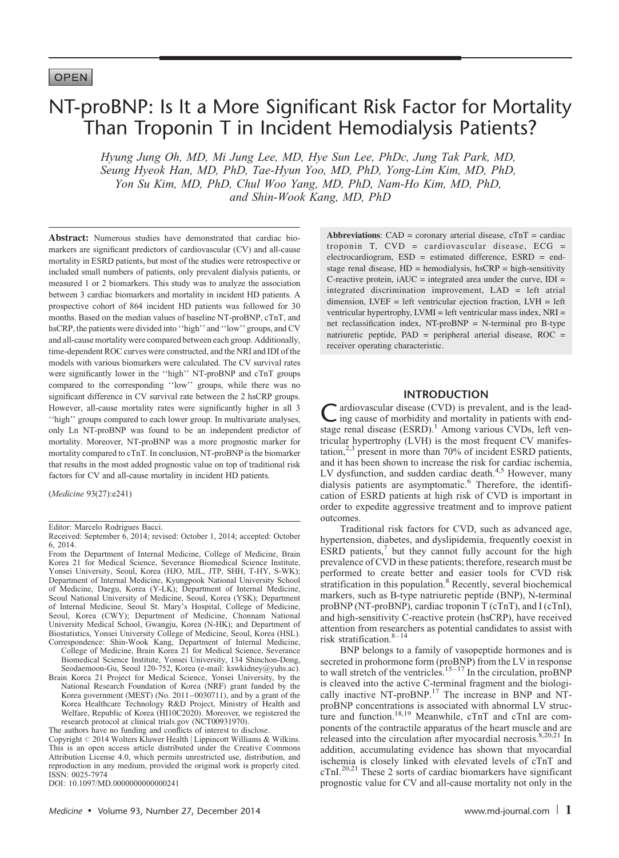# NT-proBNP: Is It a More Significant Risk Factor for Mortality Than Troponin T in Incident Hemodialysis Patients?

Hyung Jung Oh, MD, Mi Jung Lee, MD, Hye Sun Lee, PhDc, Jung Tak Park, MD, Seung Hyeok Han, MD, PhD, Tae-Hyun Yoo, MD, PhD, Yong-Lim Kim, MD, PhD, Yon Su Kim, MD, PhD, Chul Woo Yang, MD, PhD, Nam-Ho Kim, MD, PhD, and Shin-Wook Kang, MD, PhD

Abstract: Numerous studies have demonstrated that cardiac biomarkers are significant predictors of cardiovascular (CV) and all-cause mortality in ESRD patients, but most of the studies were retrospective or included small numbers of patients, only prevalent dialysis patients, or measured 1 or 2 biomarkers. This study was to analyze the association between 3 cardiac biomarkers and mortality in incident HD patients. A prospective cohort of 864 incident HD patients was followed for 30 months. Based on the median values of baseline NT-proBNP, cTnT, and hsCRP, the patients were divided into ''high'' and ''low'' groups, and CV and all-cause mortality were compared between each group. Additionally, time-dependent ROC curves were constructed, and the NRI and IDI of the models with various biomarkers were calculated. The CV survival rates were significantly lower in the ''high'' NT-proBNP and cTnT groups compared to the corresponding ''low'' groups, while there was no significant difference in CV survival rate between the 2 hsCRP groups. However, all-cause mortality rates were significantly higher in all 3 ''high'' groups compared to each lower group. In multivariate analyses, only Ln NT-proBNP was found to be an independent predictor of mortality. Moreover, NT-proBNP was a more prognostic marker for mortality compared to cTnT. In conclusion, NT-proBNP is the biomarker that results in the most added prognostic value on top of traditional risk factors for CV and all-cause mortality in incident HD patients.

(Medicine 93(27):e241)

College of Medicine, Brain Korea 21 for Medical Science, Severance Biomedical Science Institute, Yonsei University, 134 Shinchon-Dong, Seodaemoon-Gu, Seoul 120-752, Korea (e-mail: [kswkidney@yuhs.ac\)](mailto:kswkidney@yuhs.ac).

Brain Korea 21 Project for Medical Science, Yonsei University, by the National Research Foundation of Korea (NRF) grant funded by the Korea government (MEST) (No. 2011–0030711), and by a grant of the Korea Healthcare Technology R&D Project, Ministry of Health and Welfare, Republic of Korea (HI10C2020). Moreover, we registered the research protocol at clinical trials.gov (NCT00931970).

The authors have no funding and conflicts of interest to disclose.

Copyright © 2014 Wolters Kluwer Health | Lippincott Williams & Wilkins. This is an open access article distributed under the Creative Commons Attribution License 4.0, which permits unrestricted use, distribution, and reproduction in any medium, provided the original work is properly cited. ISSN: 0025-7974

Abbreviations:  $CAD = \text{coronary arterial disease}, \text{cTnT} = \text{cardiac}$ troponin T, CVD = cardiovascular disease, ECG = electrocardiogram, ESD = estimated difference, ESRD = endstage renal disease, HD = hemodialysis, hsCRP = high-sensitivity C-reactive protein,  $iAUC =$  integrated area under the curve,  $IDI =$ integrated discrimination improvement, LAD = left atrial dimension, LVEF = left ventricular ejection fraction, LVH = left ventricular hypertrophy,  $LVMI = left$  ventricular mass index,  $NRI =$ net reclassification index, NT-proBNP = N-terminal pro B-type natriuretic peptide, PAD = peripheral arterial disease, ROC = receiver operating characteristic.

## INTRODUCTION

Cardiovascular disease (CVD) is prevalent, and is the lead-<br>ing cause of morbidity and mortality in patients with end-stage renal disease (ESRD).<sup>[1](#page-9-0)</sup> Among various CVDs, left ventricular hypertrophy (LVH) is the most frequent CV manifes-tation,<sup>[2,3](#page-9-0)</sup> present in more than 70% of incident ESRD patients, and it has been shown to increase the risk for cardiac ischemia, LV dysfunction, and sudden cardiac death.<sup>[4,5](#page-9-0)</sup> However, many dialysis patients are asymptomatic.<sup>[6](#page-9-0)</sup> Therefore, the identification of ESRD patients at high risk of CVD is important in order to expedite aggressive treatment and to improve patient outcomes.

Traditional risk factors for CVD, such as advanced age, hypertension, diabetes, and dyslipidemia, frequently coexist in  $ESRD$  patients, $\prime$  but they cannot fully account for the high prevalence of CVD in these patients; therefore, research must be performed to create better and easier tools for CVD risk stratification in this population.<sup>[8](#page-9-0)</sup> Recently, several biochemical markers, such as B-type natriuretic peptide (BNP), N-terminal proBNP (NT-proBNP), cardiac troponin T (cTnT), and I (cTnI), and high-sensitivity C-reactive protein (hsCRP), have received attention from researchers as potential candidates to assist with risk stratification.[8–14](#page-9-0)

BNP belongs to a family of vasopeptide hormones and is secreted in prohormone form (proBNP) from the LV in response to wall stretch of the ventricles.<sup>[15–17](#page-9-0)</sup> In the circulation, proBNP is cleaved into the active C-terminal fragment and the biologi-<br>cally inactive NT-proBNP.<sup>[17](#page-9-0)</sup> The increase in BNP and NTproBNP concentrations is associated with abnormal LV structure and function.<sup>18,19</sup> Meanwhile, cTnT and cTnI are components of the contractile apparatus of the heart muscle and are released into the circulation after myocardial necrosis.<sup>[8,20,21](#page-9-0)</sup> In addition, accumulating evidence has shown that myocardial ischemia is closely linked with elevated levels of cTnT and  $cTnI.$ <sup>20,21</sup> These 2 sorts of cardiac biomarkers have significant prognostic value for CV and all-cause mortality not only in the

Editor: Marcelo Rodrigues Bacci.

Received: September 6, 2014; revised: October 1, 2014; accepted: October 6, 2014.

From the Department of Internal Medicine, College of Medicine, Brain Korea 21 for Medical Science, Severance Biomedical Science Institute, Yonsei University, Seoul, Korea (HJO, MJL, JTP, SHH, T-HY, S-WK); Department of Internal Medicine, Kyungpook National University School of Medicine, Daegu, Korea (Y-LK); Department of Internal Medicine, Seoul National University of Medicine, Seoul, Korea (YSK); Department of Internal Medicine, Seoul St. Mary's Hospital, College of Medicine, Seoul, Korea (CWY); Department of Medicine, Chonnam National University Medical School, Gwangju, Korea (N-HK); and Department of Biostatistics, Yonsei University College of Medicine, Seoul, Korea (HSL). Correspondence: Shin-Wook Kang, Department of Internal Medicine,

DOI: [10.1097/MD.0000000000000241](http://dx.doi.org/10.1097/MD.0000000000000241)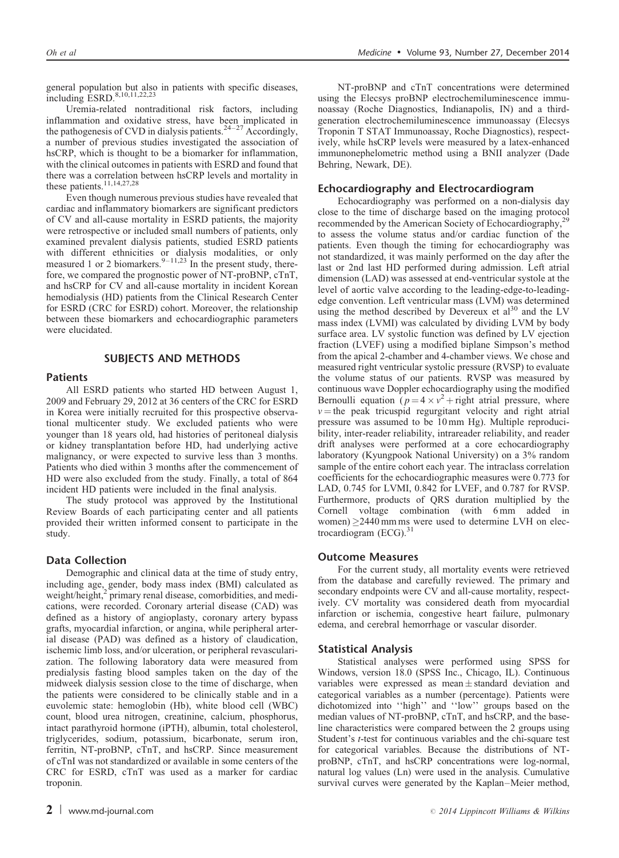general population but also in patients with specific diseases, including ESRD.<sup>[8,10,11,22,23](#page-9-0)</sup>

Uremia-related nontraditional risk factors, including inflammation and oxidative stress, have been implicated in the pathogenesis of CVD in dialysis patients.<sup>[24–27](#page-9-0)</sup> Accordingly, a number of previous studies investigated the association of hsCRP, which is thought to be a biomarker for inflammation, with the clinical outcomes in patients with ESRD and found that there was a correlation between hsCRP levels and mortality in these patients.<sup>[11,14,27,28](#page-9-0)</sup>

Even though numerous previous studies have revealed that cardiac and inflammatory biomarkers are significant predictors of CV and all-cause mortality in ESRD patients, the majority were retrospective or included small numbers of patients, only examined prevalent dialysis patients, studied ESRD patients with different ethnicities or dialysis modalities, or only measured 1 or 2 biomarkers.<sup>[9–11,23](#page-9-0)</sup> In the present study, therefore, we compared the prognostic power of NT-proBNP, cTnT, and hsCRP for CV and all-cause mortality in incident Korean hemodialysis (HD) patients from the Clinical Research Center for ESRD (CRC for ESRD) cohort. Moreover, the relationship between these biomarkers and echocardiographic parameters were elucidated.

# SUBJECTS AND METHODS

## Patients

All ESRD patients who started HD between August 1, 2009 and February 29, 2012 at 36 centers of the CRC for ESRD in Korea were initially recruited for this prospective observational multicenter study. We excluded patients who were younger than 18 years old, had histories of peritoneal dialysis or kidney transplantation before HD, had underlying active malignancy, or were expected to survive less than 3 months. Patients who died within 3 months after the commencement of HD were also excluded from the study. Finally, a total of 864 incident HD patients were included in the final analysis.

The study protocol was approved by the Institutional Review Boards of each participating center and all patients provided their written informed consent to participate in the study.

# Data Collection

Demographic and clinical data at the time of study entry, including age, gender, body mass index (BMI) calculated as weight/height,<sup>2</sup> primary renal disease, comorbidities, and medications, were recorded. Coronary arterial disease (CAD) was defined as a history of angioplasty, coronary artery bypass grafts, myocardial infarction, or angina, while peripheral arterial disease (PAD) was defined as a history of claudication, ischemic limb loss, and/or ulceration, or peripheral revascularization. The following laboratory data were measured from predialysis fasting blood samples taken on the day of the midweek dialysis session close to the time of discharge, when the patients were considered to be clinically stable and in a euvolemic state: hemoglobin (Hb), white blood cell (WBC) count, blood urea nitrogen, creatinine, calcium, phosphorus, intact parathyroid hormone (iPTH), albumin, total cholesterol, triglycerides, sodium, potassium, bicarbonate, serum iron, ferritin, NT-proBNP, cTnT, and hsCRP. Since measurement of cTnI was not standardized or available in some centers of the CRC for ESRD, cTnT was used as a marker for cardiac troponin.

NT-proBNP and cTnT concentrations were determined using the Elecsys proBNP electrochemiluminescence immunoassay (Roche Diagnostics, Indianapolis, IN) and a thirdgeneration electrochemiluminescence immunoassay (Elecsys Troponin T STAT Immunoassay, Roche Diagnostics), respectively, while hsCRP levels were measured by a latex-enhanced immunonephelometric method using a BNII analyzer (Dade Behring, Newark, DE).

# Echocardiography and Electrocardiogram

Echocardiography was performed on a non-dialysis day close to the time of discharge based on the imaging protocol recommended by the American Society of Echocardiography,<sup>2</sup> to assess the volume status and/or cardiac function of the patients. Even though the timing for echocardiography was not standardized, it was mainly performed on the day after the last or 2nd last HD performed during admission. Left atrial dimension (LAD) was assessed at end-ventricular systole at the level of aortic valve according to the leading-edge-to-leadingedge convention. Left ventricular mass (LVM) was determined using the method described by Devereux et  $al^{30}$  $al^{30}$  $al^{30}$  and the LV mass index (LVMI) was calculated by dividing LVM by body surface area. LV systolic function was defined by LV ejection fraction (LVEF) using a modified biplane Simpson's method from the apical 2-chamber and 4-chamber views. We chose and measured right ventricular systolic pressure (RVSP) to evaluate the volume status of our patients. RVSP was measured by continuous wave Doppler echocardiography using the modified Bernoulli equation  $(p=4 \times v^2 +$  right atrial pressure, where  $v =$  the peak tricuspid regurgitant velocity and right atrial pressure was assumed to be 10 mm Hg). Multiple reproducibility, inter-reader reliability, intrareader reliability, and reader drift analyses were performed at a core echocardiography laboratory (Kyungpook National University) on a 3% random sample of the entire cohort each year. The intraclass correlation coefficients for the echocardiographic measures were 0.773 for LAD, 0.745 for LVMI, 0.842 for LVEF, and 0.787 for RVSP. Furthermore, products of QRS duration multiplied by the Cornell voltage combination (with 6 mm added in women)  $\geq$  2440 mm ms were used to determine LVH on electrocardiogram  $(ECG)$ .

## Outcome Measures

For the current study, all mortality events were retrieved from the database and carefully reviewed. The primary and secondary endpoints were CV and all-cause mortality, respectively. CV mortality was considered death from myocardial infarction or ischemia, congestive heart failure, pulmonary edema, and cerebral hemorrhage or vascular disorder.

## Statistical Analysis

Statistical analyses were performed using SPSS for Windows, version 18.0 (SPSS Inc., Chicago, IL). Continuous variables were expressed as mean  $\pm$  standard deviation and categorical variables as a number (percentage). Patients were dichotomized into ''high'' and ''low'' groups based on the median values of NT-proBNP, cTnT, and hsCRP, and the baseline characteristics were compared between the 2 groups using Student's t-test for continuous variables and the chi-square test for categorical variables. Because the distributions of NTproBNP, cTnT, and hsCRP concentrations were log-normal, natural log values (Ln) were used in the analysis. Cumulative survival curves were generated by the Kaplan–Meier method,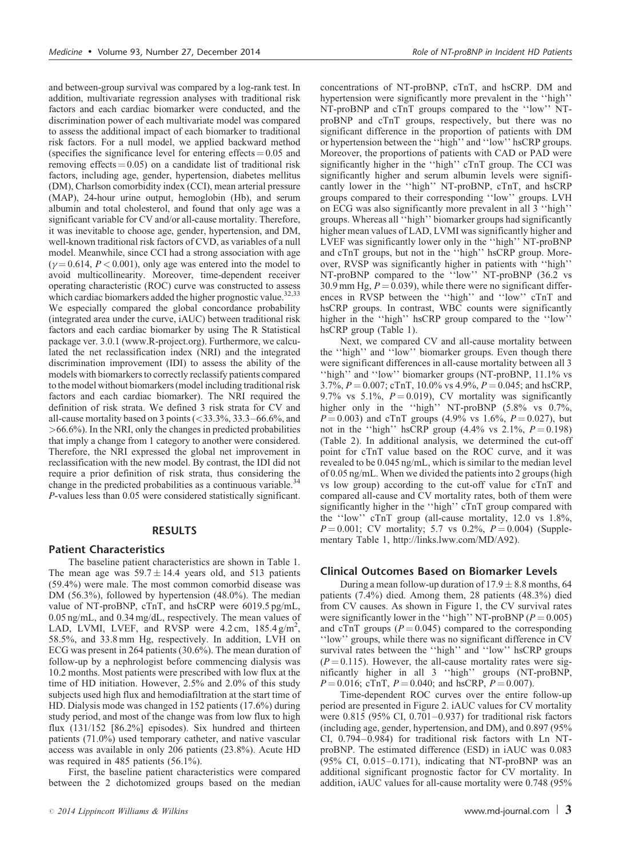and between-group survival was compared by a log-rank test. In addition, multivariate regression analyses with traditional risk factors and each cardiac biomarker were conducted, and the discrimination power of each multivariate model was compared to assess the additional impact of each biomarker to traditional risk factors. For a null model, we applied backward method (specifies the significance level for entering effects  $= 0.05$  and removing effects  $= 0.05$ ) on a candidate list of traditional risk factors, including age, gender, hypertension, diabetes mellitus (DM), Charlson comorbidity index (CCI), mean arterial pressure (MAP), 24-hour urine output, hemoglobin (Hb), and serum albumin and total cholesterol, and found that only age was a significant variable for CV and/or all-cause mortality. Therefore, it was inevitable to choose age, gender, hypertension, and DM, well-known traditional risk factors of CVD, as variables of a null model. Meanwhile, since CCI had a strong association with age  $(y= 0.614, P < 0.001)$ , only age was entered into the model to avoid multicollinearity. Moreover, time-dependent receiver operating characteristic (ROC) curve was constructed to assess which cardiac biomarkers added the higher prognostic value.<sup>32,33</sup> We especially compared the global concordance probability (integrated area under the curve, iAUC) between traditional risk factors and each cardiac biomarker by using The R Statistical package ver. 3.0.1 (www.R-project.org). Furthermore, we calculated the net reclassification index (NRI) and the integrated discrimination improvement (IDI) to assess the ability of the models with biomarkers to correctly reclassify patients compared to the model without biomarkers (model including traditional risk factors and each cardiac biomarker). The NRI required the definition of risk strata. We defined 3 risk strata for CV and all-cause mortality based on 3 points  $(<$ 33.3%, 33.3–66.6%, and >66.6%). In the NRI, only the changes in predicted probabilities that imply a change from 1 category to another were considered. Therefore, the NRI expressed the global net improvement in reclassification with the new model. By contrast, the IDI did not require a prior definition of risk strata, thus considering the change in the predicted probabilities as a continuous variable.<sup>34</sup> P-values less than 0.05 were considered statistically significant.

# RESULTS

## Patient Characteristics

The baseline patient characteristics are shown in [Table 1.](#page-3-0) The mean age was  $59.7 \pm 14.4$  years old, and 513 patients (59.4%) were male. The most common comorbid disease was DM (56.3%), followed by hypertension (48.0%). The median value of NT-proBNP, cTnT, and hsCRP were 6019.5 pg/mL, 0.05 ng/mL, and 0.34 mg/dL, respectively. The mean values of LAD, LVMI, LVEF, and RVSP were  $4.2 \text{ cm}$ ,  $185.4 \text{ g/m}^2$ , 58.5%, and 33.8 mm Hg, respectively. In addition, LVH on ECG was present in 264 patients (30.6%). The mean duration of follow-up by a nephrologist before commencing dialysis was 10.2 months. Most patients were prescribed with low flux at the time of HD initiation. However, 2.5% and 2.0% of this study subjects used high flux and hemodiafiltration at the start time of HD. Dialysis mode was changed in 152 patients (17.6%) during study period, and most of the change was from low flux to high flux (131/152 [86.2%] episodes). Six hundred and thirteen patients (71.0%) used temporary catheter, and native vascular access was available in only 206 patients (23.8%). Acute HD was required in 485 patients (56.1%).

First, the baseline patient characteristics were compared between the 2 dichotomized groups based on the median concentrations of NT-proBNP, cTnT, and hsCRP. DM and hypertension were significantly more prevalent in the ''high'' NT-proBNP and cTnT groups compared to the ''low'' NTproBNP and cTnT groups, respectively, but there was no significant difference in the proportion of patients with DM or hypertension between the ''high'' and ''low'' hsCRP groups. Moreover, the proportions of patients with CAD or PAD were significantly higher in the ''high'' cTnT group. The CCI was significantly higher and serum albumin levels were significantly lower in the ''high'' NT-proBNP, cTnT, and hsCRP groups compared to their corresponding ''low'' groups. LVH on ECG was also significantly more prevalent in all 3 ''high'' groups. Whereas all ''high'' biomarker groups had significantly higher mean values of LAD, LVMI was significantly higher and LVEF was significantly lower only in the ''high'' NT-proBNP and cTnT groups, but not in the ''high'' hsCRP group. Moreover, RVSP was significantly higher in patients with ''high'' NT-proBNP compared to the ''low'' NT-proBNP (36.2 vs 30.9 mm Hg,  $P = 0.039$ ), while there were no significant differences in RVSP between the ''high'' and ''low'' cTnT and hsCRP groups. In contrast, WBC counts were significantly higher in the ''high'' hsCRP group compared to the ''low'' hsCRP group ([Table 1\)](#page-3-0).

Next, we compared CV and all-cause mortality between the ''high'' and ''low'' biomarker groups. Even though there were significant differences in all-cause mortality between all 3 ''high'' and ''low'' biomarker groups (NT-proBNP, 11.1% vs 3.7%,  $P = 0.007$ ; cTnT, 10.0% vs 4.9%,  $P = 0.045$ ; and hsCRP, 9.7% vs 5.1%,  $P = 0.019$ ), CV mortality was significantly higher only in the "high" NT-proBNP (5.8% vs 0.7%,  $P = 0.003$ ) and cTnT groups (4.9% vs 1.6%,  $P = 0.027$ ), but not in the "high" hsCRP group  $(4.4\% \text{ vs } 2.1\%, P = 0.198)$ [\(Table 2](#page-4-0)). In additional analysis, we determined the cut-off point for cTnT value based on the ROC curve, and it was revealed to be 0.045 ng/mL, which is similar to the median level of 0.05 ng/mL. When we divided the patients into 2 groups (high vs low group) according to the cut-off value for cTnT and compared all-cause and CV mortality rates, both of them were significantly higher in the ''high'' cTnT group compared with the ''low'' cTnT group (all-cause mortality, 12.0 vs 1.8%,  $P = 0.001$ ; CV mortality; 5.7 vs 0.2%,  $P = 0.004$ ) (Supplementary Table 1, [http://links.lww.com/MD/A92\)](http://links.lww.com/MD/A92).

## Clinical Outcomes Based on Biomarker Levels

During a mean follow-up duration of  $17.9 \pm 8.8$  months, 64 patients (7.4%) died. Among them, 28 patients (48.3%) died from CV causes. As shown in [Figure 1](#page-5-0), the CV survival rates were significantly lower in the "high" NT-proBNP ( $P = 0.005$ ) and cTnT groups ( $P = 0.045$ ) compared to the corresponding ''low'' groups, while there was no significant difference in CV survival rates between the ''high'' and ''low'' hsCRP groups  $(P = 0.115)$ . However, the all-cause mortality rates were significantly higher in all 3 ''high'' groups (NT-proBNP,  $P = 0.016$ ; cTnT,  $P = 0.040$ ; and hsCRP,  $P = 0.007$ ).

Time-dependent ROC curves over the entire follow-up period are presented in [Figure 2](#page-5-0). iAUC values for CV mortality were 0.815 (95% CI, 0.701–0.937) for traditional risk factors (including age, gender, hypertension, and DM), and 0.897 (95% CI, 0.794–0.984) for traditional risk factors with Ln NTproBNP. The estimated difference (ESD) in iAUC was 0.083 (95% CI, 0.015–0.171), indicating that NT-proBNP was an additional significant prognostic factor for CV mortality. In addition, iAUC values for all-cause mortality were 0.748 (95%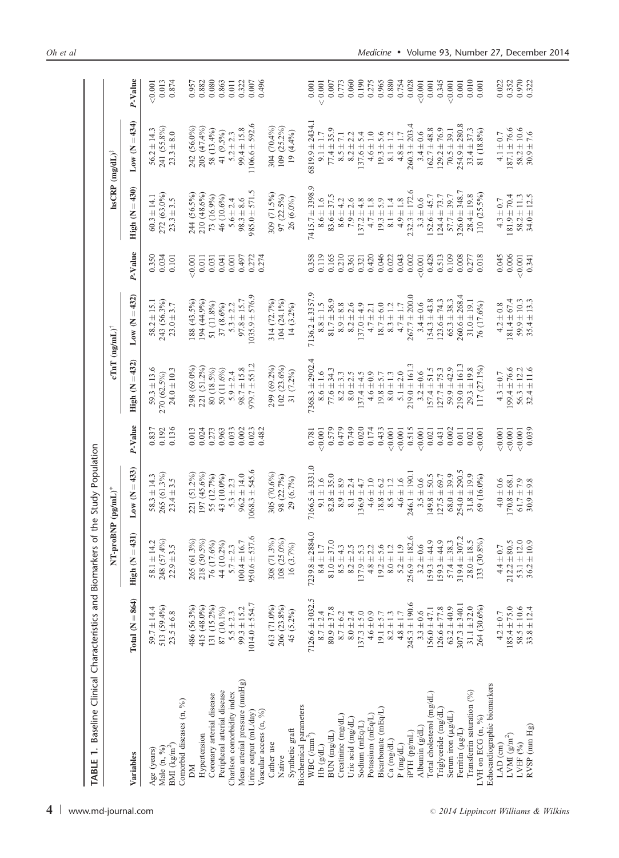<span id="page-3-0"></span>

| TABLE 1. Baseline Clinical Characteristics and Biomarkers of the Study Population |                     |                     |                     |               |                              |                             |                       |                    |                            |                |
|-----------------------------------------------------------------------------------|---------------------|---------------------|---------------------|---------------|------------------------------|-----------------------------|-----------------------|--------------------|----------------------------|----------------|
|                                                                                   |                     | NT-proBNP (pg/mL)*  |                     |               |                              | :TnT $(ng/nL)$ <sup>†</sup> |                       |                    | hsCRP (mg/dL) <sup>#</sup> |                |
| Variables                                                                         | Total $(N = 864)$   | $(N = 431)$<br>High | Low $(N=433)$       | P-Value       | High $(N = 432)$             | $Low (N = 432)$             | <i><b>P-Value</b></i> | High $(N = 430)$   | Low $(N=434)$              | P-Value        |
| Age (years)                                                                       | $59.7 \pm 14.4$     | $58.1 \pm 14.2$     | $58.3 \pm 14.3$     | 0.837         | $59.3 \pm 13.6$              | $58.2 \pm 15.$              | 0.350                 | $60.3 \pm 14.1$    | $56.2 \pm 14.3$            | < 0.001        |
| Male (n, %)                                                                       | 513 (59.4%)         | 248 (57.4%)         | 265 (61.3%)         | 0.192         | 270 (62.5%)                  | 243 (56.3%)                 | 0.034                 | 272 (63.0%)        | 241 (55.8%)                | 0.013          |
| BMI $(kg/m^2)$                                                                    | $23.5 \pm 6.8$      | $22.9 \pm 3.5$      | $23.4 \pm 3.5$      | 0.136         | $24.0 \pm 10.3$              | $23.0 \pm 3.7$              | 0.101                 | $23.3\pm3.5$       | $23.3 \pm 8.0$             | 0.874          |
| Comorbid diseases (n, %)                                                          |                     |                     |                     |               |                              |                             |                       |                    |                            |                |
| DМ                                                                                | 486 (56.3%)         | $(61.3\%)$<br>265   | 221 (51.2%)         | 0.013         | 298 (69.0%)                  | 188 (43.5%)                 | < 0.001               | 244 (56.5%)        | 242 (56.0%)                | 0.957          |
| Hypertension                                                                      | 415 (48.0%)         | $(50.5\%)$<br>218   | 197 (45.6%)         | 0.024         | 221 (51.2%)                  | 194 (44.9%)                 | 0.011                 | 210 (48.6%)        | 205 (47.4%)                | 0.882          |
| Coronary arterial disease                                                         | 131 (15.2%)         | 76 (17.6%)          | 55 (12.7%)          | 0.273         | 80 (18.5%)                   | 51 (11.8%)                  | 0.031                 | 73 (16.9%)         | 58 (13.4%)                 | 0.080          |
| Peripheral arterial disease                                                       | 87 (10.1%)          | 44 (10.2%)          | 43 (10.0%)          | 0.963         | 50 (11.6%)                   | 37 (8.6%)                   | 0.041                 | 46 (10.6%)         | 41 (9.5%)                  | 0.863          |
| Charlson comorbidity index                                                        | $5.5 \pm 2.3$       | $5.7 \pm 2.3$       | $5.3 \pm 2.3$       | 0.033         | $5.9 \pm 2.4$                | $5.3 \pm 2.2$               | 0.001                 | $5.6 \pm 2.4$      | $5.2 \pm 2.3$              | 0.011          |
| Mean arterial pressure (mmHg)                                                     | $99.3 \pm 15.2$     | $100.4 \pm 16.7$    | $96.2 \pm 14.0$     | 0.002         | $98.7 \pm 15.8$              | $97.8 \pm 15.7$             | 0.497                 | $98.3 \pm 8.6$     | $99.4 \pm 15.8$            | 0.322          |
| Urine output (mL/day)                                                             | $1014.0 \pm 554.7$  | $950.6 \pm 537.6$   | $1068.3 \pm 545.6$  | 0.023         | $979.7 \pm 551.2$            | $.035.9 \pm 576.9$          | 0.272                 | $985.0 \pm 571$    | $1106.6 \pm 592.6$         | 0.007          |
| Vascular access (n, %)                                                            |                     |                     |                     | 0.482         |                              |                             | 0.274                 |                    |                            | 0.496          |
| Cather use                                                                        | 613 (71.0%)         | $(71.3\%)$<br>308   | 305 (70.6%)         |               | 299 (69.2%)                  | 314 (72.7%)                 |                       | 309 (71.5%)        | 304 (70.4%)                |                |
| Native                                                                            | 206 (23.8%)         | $(25.0\%)$<br>108   | 98 (22.7%)          |               | 102 (23.6%)                  | 104 (24.1%)                 |                       | 97 (22.5%)         | 109 (25.2%)                |                |
| Synthetic graft                                                                   | 45 (5.2%)           | (3.7%)<br>16        | 29 (6.7%)           |               | $(7.2\%)$<br>$\overline{31}$ | 14 (3.2%)                   |                       | 26 (6.0%)          | $19(4.4\%)$                |                |
| Biochemical parameters                                                            |                     |                     |                     |               |                              |                             |                       |                    |                            |                |
| WBC (mm <sup>3</sup> )                                                            | $7126.6 \pm 3032.5$ | $7239.8 \pm 2884.0$ | $7166.5 \pm 3331.0$ | 0.781         | $7368.3 \pm 2902$            | $7136.2 \pm 3357$           | 0.358                 | $7415.7 \pm 3398.$ | $6819.9 \pm 2434.$         | 0.001          |
| Hb(g/dL)                                                                          | $8.7 \pm 2.4$       | $8.4 \pm 1.7$       | $9.1 \pm 1.6$       | ${}_{<0.001}$ | $8.6 \pm 1.6$                | $8.8 \pm 1.5$               | 0.119                 | $8.6 \pm 1.6$      | $9.1 \pm 1.7$              | < 0.001        |
| BUN (mg/dL)                                                                       | $80.9 \pm 37.8$     | $81.0 \pm 37.0$     | $82.8 \pm 35.0$     | 0.579         | $77.6 \pm 34.3$              | $81.7 \pm 36.9$             | 0.165                 | $83.6 \pm 37.5$    | $77.4 \pm 35.9$            | 0.007          |
| Creatinine (mg/dL)                                                                | $8.7 \pm 6.2$       | $8.5 \pm 4.3$       | $8.9 + 8.9$         | 0.479         | $8.2 \pm 3.3$                | $8.9 + 8.8$                 | 0.210                 | $8.6 \pm 4.2$      | $8.5 \pm 7.1$              | 0.773          |
| Uric acid (mg/dL)                                                                 | $8.0 \pm 2.4$       | $8.2 \pm 2.5$       | $8.1 \pm 2.4$       | 0.749         | $8.0\pm2.5$                  | $8.2 \pm 2.6$               | 0.361                 | $7.9 \pm 2.6$      | $8.2 \pm 2.2$              | 0.060          |
| Sodium (mEq/L)                                                                    | $137.3 \pm 5.0$     | $137.9 \pm 5.3$     | $136.9 \pm 4.7$     | 0.020         | $137.4 \pm 4.5$              | $137.0 + 4.9$               | 0.321                 | $137.2 \pm 4.8$    | $137.6 \pm 5.4$            | 0.190          |
| Potassium (mEq/L)                                                                 | $4.6 \pm 0.9$       | $4.8 \pm 2.2$       | $4.6 \pm 1.0$       | 0.174         | $4.6 \pm 0.9$                | $4.7 \pm 2.1$               | 0.420                 | $4.7\pm1.8$        | $4.6\pm1.0$                | 0.275          |
| Bicarbonate (mEq/L)                                                               | $19.1 \pm 5.7$      | $19.2 \pm 5.6$      | $18.8 \pm 6.2$      | 0.433         | $19.8 \pm 5.7$               | $18.7 \pm 6.0$              | 0.046                 | $19.3 \pm 5.9$     | $19.3 \pm 5.6$             | 0.965          |
| $Ca \ (mg/dL)$                                                                    | $8.2 \pm 1.3$       | $8.0\pm1.2$         | $8.5 \pm 1.2$       | < 0.001       | $8.0\pm1.3$                  | $8.3 \pm 1.2$               | 0.022                 | $8.1 \pm 1.4$      | $8.1\pm1.2$                | 0.880<br>0.754 |
| P (mg/dL)                                                                         | $4.8\pm1.7$         | $5.2 \pm 1.9$       | $4.6\pm1.6$         | < 0.001       | $5.1 \pm 2.0$                | $4.7 \pm 1.7$               | 0.043                 | $4.9\pm1.8$        | $4.8\pm1.7$                |                |
| (Jm/gq) HTTH                                                                      | $245.3 \pm 190.6$   | $256.9 \pm 182.6$   | $246.1 \pm 190.1$   | 0.515         | $219.0 \pm 161.3$            | $267.7 \pm 200.0$           | 0.002                 | $232.3 \pm 172.6$  | $260.3 \pm 203.4$          | 0.028          |
| Albumin $(g/dL)$                                                                  | $3.3 \pm 0.6$       | $3.2 \pm 0.6$       | $3.5 \pm 0.6$       | < 0.001       | $3.2 \pm 0.6$                | $3.4 \pm 0.6$               | < 0.001               | $3.3 \pm 0.6$      | $3.4 \pm 0.6$              | < 0.001        |
| Total cholesterol (mg/dL)                                                         | $156.0 \pm 47.1$    | $159.3 \pm 44.9$    | $149.8 \pm 50.5$    | 0.021         | $157.4 \pm 51.5$             | $154.3 \pm 43.8$            | 0.428                 | $152.6 \pm 45.7$   | $162.7 \pm 48.8$           | 0.001          |
| Triglyceride (mg/dL)                                                              | $126.6 \pm 77.8$    | $159.3 \pm 44.9$    | $127.5 \pm 69.7$    | 0.431         | $127.7 \pm 75.3$             | $123.6 \pm 74.3$            | 0.513                 | $124.4 \pm 73.7$   | $129.2 \pm 76.9$           | 0.345          |
| Serum iron (µg/dL)                                                                | $63.2 \pm 40.9$     | $57.4 \pm 38.3$     | $68.0 \pm 39.9$     | 0.002         | $59.9 \pm 42.9$              | $65.3 \pm 38.3$             | 0.109                 | $57.7 \pm 39.7$    | $70.5 \pm 39.1$            | < 0.001        |
| Ferritin $(\mu g/L)$                                                              | $307.3 \pm 340.1$   | $319.4 \pm 307.2$   | $254.0 \pm 290.5$   | 0.011         | $219.0 \pm 161.3$            | $260.6 \pm 268.4$           | 0.008                 | $326.0 \pm 348.7$  | $254.9 \pm 280.8$          | 0.001          |
| Transferrin saturation (%)                                                        | $31.1 \pm 32.0$     | $28.0 \pm 18.5$     | $31.8 \pm 19.9$     | 0.021         | $29.3 \pm 19.8$              | $31.0 \pm 19.1$             | 0.277                 | $28.4 \pm 19.8$    | $33.4 \pm 37.3$            | 0.010          |
| LVH on ECG (n, %)                                                                 | 264 (30.6%)         | (30.8%<br>133       | 69 (16.0%)          | (0.001)       | 117 (27.1%)                  | 76 (17.6%)                  | 0.018                 | $110(25.5\%)$      | 81 (18.8%)                 | 0.001          |
| Echocardiographic biomarkers                                                      |                     |                     |                     |               |                              |                             |                       |                    |                            |                |
| LAD (cm)                                                                          | $4.2 \pm 0.7$       | $4.4 \pm 0.7$       | $4.0 \pm 0.6$       | < 0.001       | $4.3 \pm 0.7$                | $4.2 \pm 0.8$               | 0.045                 | $4.3 \pm 0.7$      | $4.1 \pm 0.7$              | 0.022          |
| $LVMI(g/m^2)$                                                                     | $185.4 \pm 75.0$    | $212.2 \pm 80.5$    | $170.8 \pm 68.1$    | < 0.001       | $199.4 \pm 76.6$             | $181.4 \pm 67.4$            | 0.006                 | $181.9 \pm 70.4$   | $187.1 \pm 76.6$           | 0.352          |
| LVEF (%)                                                                          | $58.5 \pm 10.6$     | $53.1 \pm 12.0$     | $61.7 \pm 7.9$      | < 0.001       | $56.3 \pm 12.2$              | $59.9 \pm 10.3$             | < 0.001               | $58.2 \pm 11.3$    | $58.2 \pm 10.6$            | 0.970          |
| RVSP (mm Hg)                                                                      | $33.8 \pm 12.4$     | $\pm 10.9$<br>36.2  | $30.9 \pm 9.8$      | 0.039         | $32.4 \pm 11.6$              | $35.4 \pm 13.3$             | 0.341                 | $34.0 \pm 12.5$    | $30.9 \pm 7.6$             | 0.322          |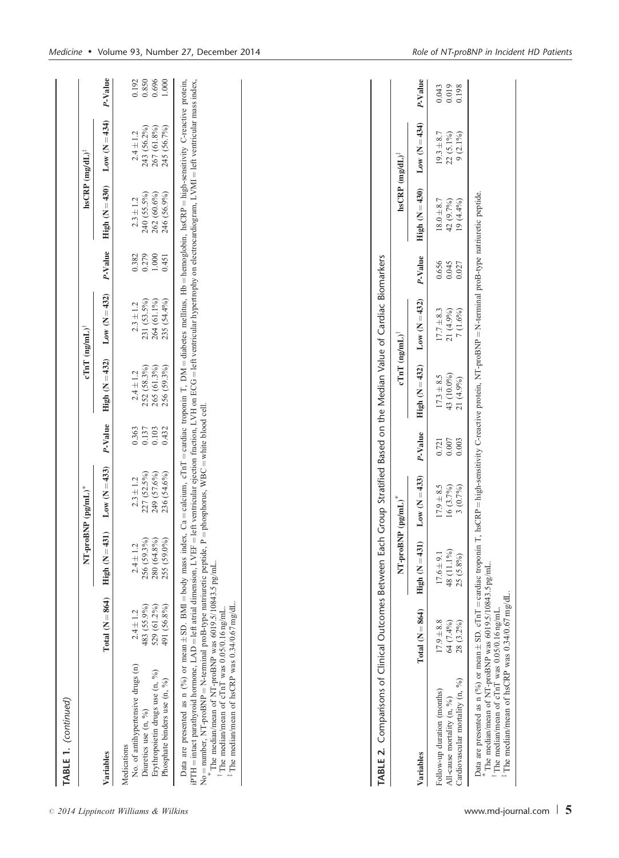<span id="page-4-0"></span>

| TABLE 1. (continued)                                                                                                                                                                                                                                                                                                                                                                                                                                                                                                                                                                                                                                                 |                                                            |                                                                                                                                                                                                                                                                                                              |                                                                                                                                                                                                                                                                    |                                  |                                                            |                                                            |                                  |                                                            |                                                            |                              |
|----------------------------------------------------------------------------------------------------------------------------------------------------------------------------------------------------------------------------------------------------------------------------------------------------------------------------------------------------------------------------------------------------------------------------------------------------------------------------------------------------------------------------------------------------------------------------------------------------------------------------------------------------------------------|------------------------------------------------------------|--------------------------------------------------------------------------------------------------------------------------------------------------------------------------------------------------------------------------------------------------------------------------------------------------------------|--------------------------------------------------------------------------------------------------------------------------------------------------------------------------------------------------------------------------------------------------------------------|----------------------------------|------------------------------------------------------------|------------------------------------------------------------|----------------------------------|------------------------------------------------------------|------------------------------------------------------------|------------------------------|
|                                                                                                                                                                                                                                                                                                                                                                                                                                                                                                                                                                                                                                                                      |                                                            | NT-proBNP (pg/mL)*                                                                                                                                                                                                                                                                                           |                                                                                                                                                                                                                                                                    |                                  | $cTnT$ (ng/mL)                                             |                                                            |                                  | hsCRP (mg/dL) <sup>3</sup>                                 |                                                            |                              |
| Variables                                                                                                                                                                                                                                                                                                                                                                                                                                                                                                                                                                                                                                                            |                                                            | Total (N = 864) $\overline{N}$ High (N = 431) $\overline{N}$ = 433) $\overline{P}$ Value $\overline{N}$ = 431) $\overline{N}$ = 432) $\overline{N}$ = 432) $\overline{N}$ = 432) $\overline{N}$ = 432) $\overline{N}$ = 432) $\overline{N}$ = 432) $\overline{N}$ = 432) $\overline{N}$ = 432) $\overline{N$ |                                                                                                                                                                                                                                                                    |                                  |                                                            |                                                            |                                  | $\text{High (N=430)}$ $\text{Low (N=434)}$                 |                                                            | $P$ -Value                   |
| PTH = intact parathyroid hormone, LAD = left atrial dimension, LVEF = left ventricular ejection fraction, LVH on ECG = left ventricular hypertrophy on electrocardiogram, LVMI = left ventricular mass index,<br>The median/mean of NT-proBNP was 6019.5/10843.5 pg/mL.<br>$No = number$ , $NT-proBNP = N-terminal prob-type antiruretic$<br>Data are presented as $n \binom{9}{0}$ or mean $\pm$ SD. BMI = body i<br>The median/mean of hsCRP was $0.34/0.67$ mg/dL.<br>The median/mean of cTnT was 0.05/0.16 ng/mL.<br>No. of antihypertensive drugs (n)<br>Erythropoietin drugs use (n, %)<br>Phosphate binders use (n, %)<br>Diuretics use (n, %)<br>Medications | 491 (56.8%)<br>529 (61.2%)<br>483 (55.9%)<br>$2.4 \pm 1.2$ | 280 (64.8%)<br>255 (59.0%)<br>256 (59.3%)<br>$2.4 \pm 1.2$                                                                                                                                                                                                                                                   | mass index, $Ca =$ calcium, $cTnT =$ cardiac troponin T, DM = diabetes mellitus, Hb = hemoglobin, hsCRP = high-sensitivity C-reactive protein,<br>peptide, $P =$ phosphorus, WBC = white blood cell.<br>236 (54.6%)<br>227 (52.5%)<br>249 (57.6%)<br>$2.3 \pm 1.2$ | 0.363<br>0.432<br>0.137<br>0.103 | 252 (58.3%)<br>265 (61.3%)<br>256 (59.3%)<br>$2.4 \pm 1.2$ | 235 (54.4%)<br>231 (53.5%)<br>264 (61.1%)<br>$2.3 \pm 1.2$ | 0.382<br>0.279<br>1.000<br>0.451 | 246 (56.9%)<br>240 (55.5%)<br>262 (60.6%)<br>$2.3 \pm 1.2$ | 267 (61.8%)<br>245 (56.7%)<br>243 (56.2%)<br>$2.4 \pm 1.2$ | 192<br>0.696<br>0.850<br>000 |
|                                                                                                                                                                                                                                                                                                                                                                                                                                                                                                                                                                                                                                                                      |                                                            |                                                                                                                                                                                                                                                                                                              |                                                                                                                                                                                                                                                                    |                                  |                                                            |                                                            |                                  |                                                            |                                                            |                              |

| TABLE 2. Comparisons of Clinical Outcomes Between Each Group Stratified Based on the Median Value of Cardiac Biomarkers                                                                                                                                                                                                            |                   |                    |                |       |                |                                                                      |       |                |                                      |       |
|------------------------------------------------------------------------------------------------------------------------------------------------------------------------------------------------------------------------------------------------------------------------------------------------------------------------------------|-------------------|--------------------|----------------|-------|----------------|----------------------------------------------------------------------|-------|----------------|--------------------------------------|-------|
|                                                                                                                                                                                                                                                                                                                                    |                   | NT-proBNP (pg/mL)* |                |       | $cTnT$ (ng/mL) |                                                                      |       |                | hsCRP (mg/dL) <sup>3</sup>           |       |
| Variables                                                                                                                                                                                                                                                                                                                          | Total $(N = 864)$ |                    |                |       |                | $High(N=431)$ $Low(N=433)$ $P-433$ $P-432$ $Low(N=432)$ $Low(N=432)$ |       |                | High (N = 430) Low (N = 434) P-Value |       |
| Follow-up duration (months)                                                                                                                                                                                                                                                                                                        | $17.9 \pm 8.8$    | $7.6 \pm 9.1$      | $17.9 \pm 8.5$ | 0.721 | $17.3 \pm 8.5$ | $17.7 \pm 8.3$                                                       | 0.656 | $18.0 \pm 8.7$ | $19.3 + 8.7$                         | 0.043 |
| dl-cause mortality (n, %)                                                                                                                                                                                                                                                                                                          | 64 (7.4%)         | 48 (11.1%)         | $16(3.7\%)$    | 0.007 | 43 (10.0%)     | 21 (4.9%)                                                            | 0.045 | 42 (9.7%)      | 22 (5.1%)                            | 0.019 |
| Cardiovascular mortality (n, %)                                                                                                                                                                                                                                                                                                    | 28 (3.2%)         | (5.8%)             | 3(0.7%)        | 0.003 | 21 (4.9%)      | 7 (1.6%)                                                             | 0.027 | $19(4.4\%)$    | 9 (2.1%)                             | 0.198 |
| Data are presented as n (%) or mean±SD. cTnT = cardiac troponin T, hsCRP = high-sensitivity C-reactive protein, NT-proBNP = N-terminal proB-type natriuretic peptide.<br>The median/mean of NT-proBNP was 6019.5/10843.5 pg/mL.<br>The median/mean of hsCRP was $0.34/0.67$ mg/dL.<br>The median/mean of cTnT was 0.05/0.16 ng/mL. |                   |                    |                |       |                |                                                                      |       |                |                                      |       |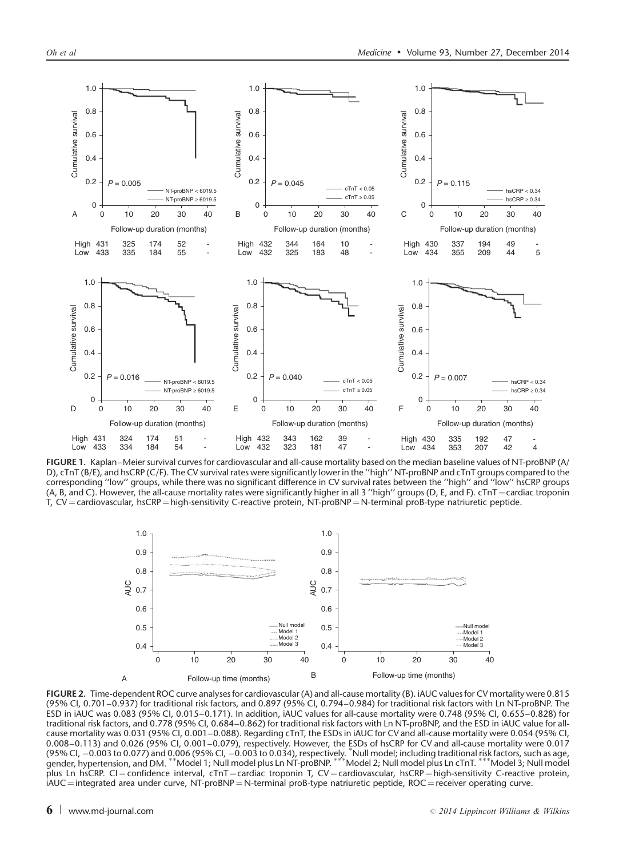<span id="page-5-0"></span>

FIGURE 1. Kaplan–Meier survival curves for cardiovascular and all-cause mortality based on the median baseline values of NT-proBNP (A/ D), cTnT (B/E), and hsCRP (C/F). The CV survival rates were significantly lower in the ''high'' NT-proBNP and cTnT groups compared to the corresponding ''low'' groups, while there was no significant difference in CV survival rates between the ''high'' and ''low'' hsCRP groups (A, B, and C). However, the all-cause mortality rates were significantly higher in all 3 "high" groups (D, E, and F).  $cTnT = cardiac troponin$ T,  $CV =$  cardiovascular, hsCRP = high-sensitivity C-reactive protein, NT-proBNP = N-terminal proB-type natriuretic peptide.



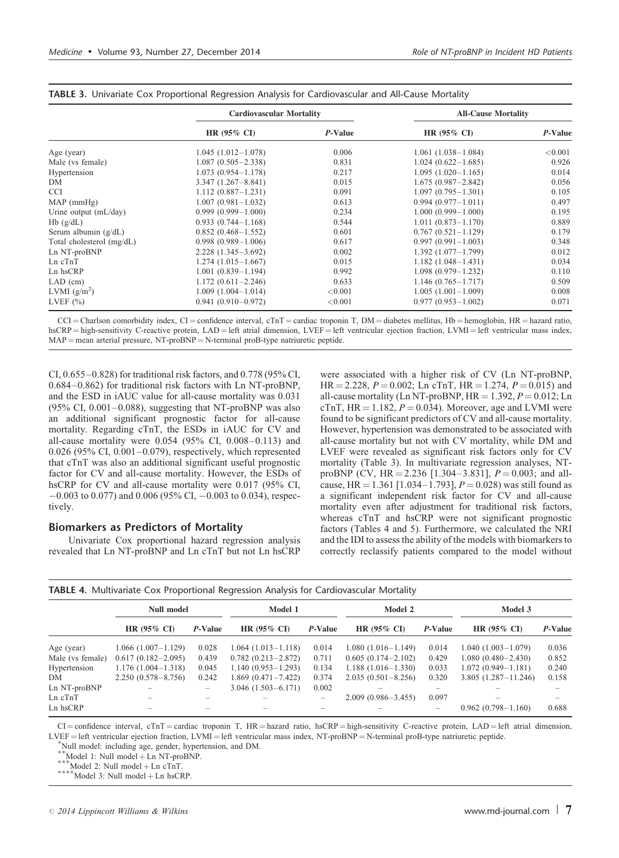|                           | <b>Cardiovascular Mortality</b> |         | <b>All-Cause Mortality</b> |            |
|---------------------------|---------------------------------|---------|----------------------------|------------|
|                           | HR $(95\% \text{ CI})$          | P-Value | HR $(95\% \text{ CI})$     | P-Value    |
| Age (year)                | $1.045(1.012 - 1.078)$          | 0.006   | $1.061(1.038-1.084)$       | ${<}0.001$ |
| Male (vs female)          | $1.087(0.505 - 2.338)$          | 0.831   | $1.024(0.622 - 1.685)$     | 0.926      |
| Hypertension              | $1.073(0.954 - 1.178)$          | 0.217   | $1.095(1.020 - 1.165)$     | 0.014      |
| DM                        | $3.347(1.267 - 8.841)$          | 0.015   | $1.675(0.987 - 2.842)$     | 0.056      |
| <b>CCI</b>                | $1.112(0.887 - 1.231)$          | 0.091   | $1.097(0.795 - 1.301)$     | 0.105      |
| $MAP$ (mmHg)              | $1.007(0.981 - 1.032)$          | 0.613   | $0.994(0.977 - 1.011)$     | 0.497      |
| Urine output $(mL/day)$   | $0.999(0.999 - 1.000)$          | 0.234   | $1.000(0.999 - 1.000)$     | 0.195      |
| $Hb$ (g/dL)               | $0.933(0.744 - 1.168)$          | 0.544   | $1.011(0.873 - 1.170)$     | 0.889      |
| Serum albumin $(g/dL)$    | $0.852(0.468 - 1.552)$          | 0.601   | $0.767(0.521 - 1.129)$     | 0.179      |
| Total cholesterol (mg/dL) | $0.998(0.989 - 1.006)$          | 0.617   | $0.997(0.991 - 1.003)$     | 0.348      |
| Ln NT-proBNP              | $2.228(1.345 - 3.692)$          | 0.002   | $1.392(1.077 - 1.799)$     | 0.012      |
| Ln cTnT                   | $1.274(1.015-1.667)$            | 0.015   | $1.182(1.048 - 1.431)$     | 0.034      |
| Ln hsCRP                  | $1.001(0.839 - 1.194)$          | 0.992   | $1.098(0.979 - 1.232)$     | 0.110      |
| $LAD$ (cm)                | $1.172(0.611 - 2.246)$          | 0.633   | $1.146(0.765 - 1.717)$     | 0.509      |
| LVMI $(g/m^2)$            | $1.009(1.004-1.014)$            | < 0.001 | $1.005(1.001 - 1.009)$     | 0.008      |
| LVEF $(\% )$              | $0.941(0.910 - 0.972)$          | < 0.001 | $0.977(0.953 - 1.002)$     | 0.071      |

### TABLE 3. Univariate Cox Proportional Regression Analysis for Cardiovascular and All-Cause Mortality

 $CCI =$ Charlson comorbidity index,  $CI =$ confidence interval, cTnT = cardiac troponin T, DM = diabetes mellitus, Hb = hemoglobin, HR = hazard ratio, hsCRP = high-sensitivity C-reactive protein, LAD = left atrial dimension, LVEF = left ventricular ejection fraction, LVMI = left ventricular mass index,  $MAP = mean$  arterial pressure, NT-proBNP = N-terminal proB-type natriuretic peptide.

CI, 0.655–0.828) for traditional risk factors, and 0.778 (95% CI, 0.684–0.862) for traditional risk factors with Ln NT-proBNP, and the ESD in iAUC value for all-cause mortality was 0.031 (95% CI, 0.001–0.088), suggesting that NT-proBNP was also an additional significant prognostic factor for all-cause mortality. Regarding cTnT, the ESDs in iAUC for CV and all-cause mortality were 0.054 (95% CI, 0.008–0.113) and 0.026 (95% CI, 0.001–0.079), respectively, which represented that cTnT was also an additional significant useful prognostic factor for CV and all-cause mortality. However, the ESDs of hsCRP for CV and all-cause mortality were 0.017 (95% CI,  $-0.003$  to 0.077) and 0.006 (95% CI,  $-0.003$  to 0.034), respectively.

#### Biomarkers as Predictors of Mortality

Univariate Cox proportional hazard regression analysis revealed that Ln NT-proBNP and Ln cTnT but not Ln hsCRP were associated with a higher risk of CV (Ln NT-proBNP,  $HR = 2.228$ ,  $P = 0.002$ ; Ln cTnT, HR = 1.274,  $P = 0.015$ ) and all-cause mortality (Ln NT-proBNP,  $HR = 1.392$ ,  $P = 0.012$ ; Ln cTnT,  $HR = 1.182$ ,  $P = 0.034$ ). Moreover, age and LVMI were found to be significant predictors of CV and all-cause mortality. However, hypertension was demonstrated to be associated with all-cause mortality but not with CV mortality, while DM and LVEF were revealed as significant risk factors only for CV mortality (Table 3). In multivariate regression analyses, NTproBNP (CV, HR = 2.236 [1.304–3.831],  $P = 0.003$ ; and allcause,  $HR = 1.361$  [1.034–1.793],  $P = 0.028$ ) was still found as a significant independent risk factor for CV and all-cause mortality even after adjustment for traditional risk factors, whereas cTnT and hsCRP were not significant prognostic factors (Tables 4 and 5). Furthermore, we calculated the NRI and the IDI to assess the ability of the models with biomarkers to correctly reclassify patients compared to the model without

|                  |                        |         | <b>TABLE 4.</b> Multivariate Cox Proportional Regression Analysis for Cardiovascular Mortality |         |                        |         |                         |         |
|------------------|------------------------|---------|------------------------------------------------------------------------------------------------|---------|------------------------|---------|-------------------------|---------|
|                  | <b>Null model</b>      |         | Model 1                                                                                        |         | Model 2                |         | Model 3                 |         |
|                  | HR (95% CI)            | P-Value | HR $(95\% \text{ CI})$                                                                         | P-Value | HR $(95\% \text{ CI})$ | P-Value | HR (95% CI)             | P-Value |
| Age (year)       | $1.066(1.007-1.129)$   | 0.028   | $1.064(1.013-1.118)$                                                                           | 0.014   | $1.080(1.016-1.149)$   | 0.014   | $1.040(1.003-1.079)$    | 0.036   |
| Male (vs female) | $0.617(0.182 - 2.095)$ | 0.439   | $0.782(0.213 - 2.872)$                                                                         | 0.711   | $0.605(0.174 - 2.102)$ | 0.429   | $1.080(0.480 - 2.430)$  | 0.852   |
| Hypertension     | $1.176(1.004-1.318)$   | 0.045   | $1.140(0.953 - 1.293)$                                                                         | 0.134   | $1.188(1.016 - 1.330)$ | 0.033   | $1.072(0.949 - 1.181)$  | 0.240   |
| DМ               | $2.250(0.578 - 8.756)$ | 0.242   | $1.869(0.471 - 7.422)$                                                                         | 0.374   | $2.035(0.501 - 8.256)$ | 0.320   | $3.805(1.287 - 11.246)$ | 0.158   |
| Ln NT-proBNP     |                        |         | $3.046(1.503 - 6.171)$                                                                         | 0.002   |                        |         |                         |         |
| Ln cTnT          |                        |         |                                                                                                |         | $2.009(0.986 - 3.455)$ | 0.097   |                         |         |
| Ln hsCRP         |                        |         |                                                                                                |         |                        |         | $0.962(0.798-1.160)$    | 0.688   |

| <b>TABLE 4.</b> Multivariate Cox Proportional Regression Analysis for Cardiovascular Mortality |  |  |
|------------------------------------------------------------------------------------------------|--|--|
|                                                                                                |  |  |

 $CI =$ confidence interval,  $cTnT =$ cardiac troponin T, HR = hazard ratio, hsCRP = high-sensitivity C-reactive protein, LAD = left atrial dimension, LVEF = left ventricular ejection fraction, LVMI = left ventricular mass index, NT-proBNP = N-terminal proB-type natriuretic peptide.

 $N$ Null model: including age, gender, hypertension, and DM.  $N$  Model 1: Null model + Ln NT-proBNP.

 $***<sup>2</sup> Model 2: Null model + Ln N1-piobn  
\n***<sup>2</sup> Model 2: Null model + Ln cTnT.$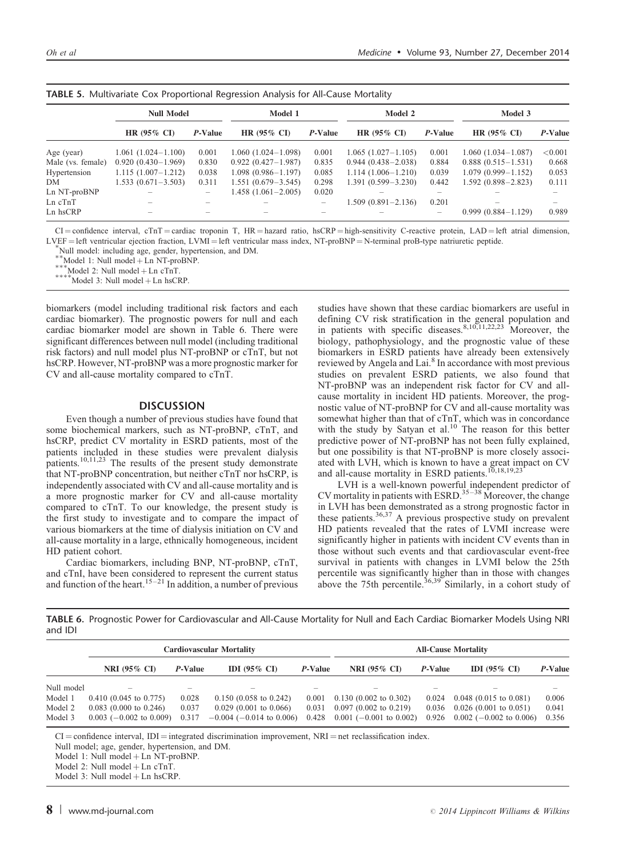|                   | <b>Null Model</b>      |         | Model 1                |         | Model 2                |         | Model 3                |            |
|-------------------|------------------------|---------|------------------------|---------|------------------------|---------|------------------------|------------|
|                   | HR $(95\% \text{ CI})$ | P-Value | HR (95% CI)            | P-Value | HR (95% CI)            | P-Value | HR $(95\% \text{ CI})$ | P-Value    |
| Age (year)        | $1.061(1.024 - 1.100)$ | 0.001   | $1.060(1.024-1.098)$   | 0.001   | $1.065(1.027-1.105)$   | 0.001   | $1.060(1.034 - 1.087)$ | ${<}0.001$ |
| Male (vs. female) | $0.920(0.430 - 1.969)$ | 0.830   | $0.922(0.427 - 1.987)$ | 0.835   | $0.944(0.438 - 2.038)$ | 0.884   | $0.888(0.515-1.531)$   | 0.668      |
| Hypertension      | $1.115(1.007-1.212)$   | 0.038   | $1.098(0.986 - 1.197)$ | 0.085   | $1.114(1.006-1.210)$   | 0.039   | $1.079(0.999 - 1.152)$ | 0.053      |
| DM                | $1.533(0.671 - 3.503)$ | 0.311   | $1.551(0.679 - 3.545)$ | 0.298   | $1.391(0.599 - 3.230)$ | 0.442   | $1.592(0.898 - 2.823)$ | 0.111      |
| Ln NT-proBNP      |                        |         | $1.458(1.061 - 2.005)$ | 0.020   |                        |         |                        |            |
| Ln cTnT           |                        |         |                        | -       | $1.509(0.891 - 2.136)$ | 0.201   |                        |            |
| Ln hsCRP          |                        |         |                        |         |                        |         | $0.999(0.884 - 1.129)$ | 0.989      |

| TABLE 5. Multivariate Cox Proportional Regression Analysis for All-Cause Mortality |  |  |  |  |
|------------------------------------------------------------------------------------|--|--|--|--|
|                                                                                    |  |  |  |  |

 $CI =$  confidence interval,  $cTnT =$  cardiac troponin T, HR = hazard ratio, hsCRP = high-sensitivity C-reactive protein, LAD = left atrial dimension,  $LVEF = left$  ventricular ejection fraction,  $LVMI = left$  ventricular mass index, NT-proBNP = N-terminal proB-type natriuretic peptide.

Null model: including age, gender, hypertension, and DM.

\*Model 1: Null model + Ln NT-proBNP.<br>\*\*Model 2: Null model + Ln cTnT.<br>\*\*\*Model 3: Null model + Ln hsCRP.

biomarkers (model including traditional risk factors and each cardiac biomarker). The prognostic powers for null and each cardiac biomarker model are shown in Table 6. There were significant differences between null model (including traditional risk factors) and null model plus NT-proBNP or cTnT, but not hsCRP. However, NT-proBNP was a more prognostic marker for CV and all-cause mortality compared to cTnT.

## **DISCUSSION**

Even though a number of previous studies have found that some biochemical markers, such as NT-proBNP, cTnT, and hsCRP, predict CV mortality in ESRD patients, most of the patients included in these studies were prevalent dialysis patients.<sup>10,11,23</sup> The results of the present study demonstrate that NT-proBNP concentration, but neither cTnT nor hsCRP, is independently associated with CV and all-cause mortality and is a more prognostic marker for CV and all-cause mortality compared to cTnT. To our knowledge, the present study is the first study to investigate and to compare the impact of various biomarkers at the time of dialysis initiation on CV and all-cause mortality in a large, ethnically homogeneous, incident HD patient cohort.

Cardiac biomarkers, including BNP, NT-proBNP, cTnT, and cTnI, have been considered to represent the current status and function of the heart.<sup>[15–21](#page-9-0)</sup> In addition, a number of previous studies have shown that these cardiac biomarkers are useful in defining CV risk stratification in the general population and<br>in patients with specific diseases.<sup>[8,10,11,22,23](#page-9-0)</sup> Moreover, the biology, pathophysiology, and the prognostic value of these biomarkers in ESRD patients have already been extensively reviewed by Angela and Lai.<sup>[8](#page-9-0)</sup> In accordance with most previous studies on prevalent ESRD patients, we also found that NT-proBNP was an independent risk factor for CV and allcause mortality in incident HD patients. Moreover, the prognostic value of NT-proBNP for CV and all-cause mortality was somewhat higher than that of cTnT, which was in concordance with the study by Satyan et al.<sup>[10](#page-9-0)</sup> The reason for this better predictive power of NT-proBNP has not been fully explained, but one possibility is that NT-proBNP is more closely associ-ated with LVH, which is known to have a great impact on CV and all-cause mortality in ESRD patients.<sup>[10,18,19,23](#page-9-0)</sup>

LVH is a well-known powerful independent predictor of CV mortality in patients with ESRD.<sup>[35–38](#page-10-0)</sup> Moreover, the change in LVH has been demonstrated as a strong prognostic factor in these patients.<sup>[36,37](#page-10-0)</sup> A previous prospective study on prevalent HD patients revealed that the rates of LVMI increase were significantly higher in patients with incident CV events than in those without such events and that cardiovascular event-free survival in patients with changes in LVMI below the 25th percentile was significantly higher than in those with changes above the 75th percentile.<sup>[36,39](#page-10-0)</sup> Similarly, in a cohort study of

TABLE 6. Prognostic Power for Cardiovascular and All-Cause Mortality for Null and Each Cardiac Biomarker Models Using NRI and IDI

|                                             |                                                                                           |                         | <b>Cardiovascular Mortality</b>                                                               |                         |                                                                                           |                         | <b>All-Cause Mortality</b>                                                        |                         |
|---------------------------------------------|-------------------------------------------------------------------------------------------|-------------------------|-----------------------------------------------------------------------------------------------|-------------------------|-------------------------------------------------------------------------------------------|-------------------------|-----------------------------------------------------------------------------------|-------------------------|
|                                             | <b>NRI</b> (95% CI)                                                                       | P-Value                 | IDI $(95\% \text{ CI})$                                                                       | P-Value                 | <b>NRI</b> (95% CI)                                                                       | P-Value                 | IDI $(95\% \text{ CI})$                                                           | P-Value                 |
| Null model<br>Model 1<br>Model 2<br>Model 3 | $0.410(0.045 \text{ to } 0.775)$<br>$0.083$ (0.000 to 0.246)<br>$0.003$ (-0.002 to 0.009) | 0.028<br>0.037<br>0.317 | $0.150(0.058 \text{ to } 0.242)$<br>$0.029$ (0.001 to 0.066)<br>$-0.004$ ( $-0.014$ to 0.006) | 0.001<br>0.031<br>0.428 | $0.130(0.002 \text{ to } 0.302)$<br>$0.097$ (0.002 to 0.219)<br>$0.001$ (-0.001 to 0.002) | 0.024<br>0.036<br>0.926 | $0.048$ (0.015 to 0.081)<br>$0.026$ (0.001 to 0.051)<br>$0.002$ (-0.002 to 0.006) | 0.006<br>0.041<br>0.356 |

 $CI =$  confidence interval,  $IDI =$  integrated discrimination improvement,  $NRI =$  net reclassification index.

Null model; age, gender, hypertension, and DM.

Model 1: Null model  $+$  Ln NT-proBNP.

Model 2: Null model + Ln  $cTnT$ .

Model 3: Null model  $+$  Ln hsCRP.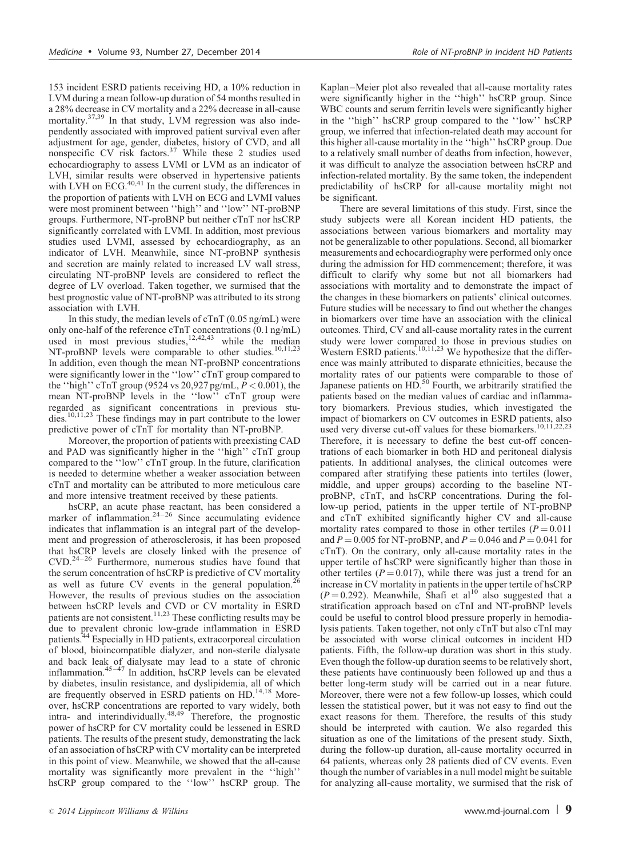153 incident ESRD patients receiving HD, a 10% reduction in LVM during a mean follow-up duration of 54 months resulted in a 28% decrease in CV mortality and a 22% decrease in all-cause mortality.<sup>[37,39](#page-10-0)</sup> In that study, LVM regression was also independently associated with improved patient survival even after adjustment for age, gender, diabetes, history of CVD, and all nonspecific CV risk factors.<sup>[37](#page-10-0)</sup> While these 2 studies used echocardiography to assess LVMI or LVM as an indicator of LVH, similar results were observed in hypertensive patients with LVH on ECG. $^{40,41}$  $^{40,41}$  $^{40,41}$  In the current study, the differences in the proportion of patients with LVH on ECG and LVMI values were most prominent between ''high'' and ''low'' NT-proBNP groups. Furthermore, NT-proBNP but neither cTnT nor hsCRP significantly correlated with LVMI. In addition, most previous studies used LVMI, assessed by echocardiography, as an indicator of LVH. Meanwhile, since NT-proBNP synthesis and secretion are mainly related to increased LV wall stress, circulating NT-proBNP levels are considered to reflect the degree of LV overload. Taken together, we surmised that the best prognostic value of NT-proBNP was attributed to its strong association with LVH.

In this study, the median levels of cTnT (0.05 ng/mL) were only one-half of the reference cTnT concentrations  $(0.1 \text{ ng/mL})$ <br>used in most previous studies,<sup>[12,42,43](#page-9-0)</sup> while the median NT-proBNP levels were comparable to other studies.<sup>[10,11,23](#page-9-0)</sup> In addition, even though the mean NT-proBNP concentrations were significantly lower in the ''low'' cTnT group compared to the "high" c $TnT$  group (9524 vs 20,927 pg/mL,  $P < 0.001$ ), the mean NT-proBNP levels in the ''low'' cTnT group were regarded as significant concentrations in previous stu-dies.<sup>[10,11,23](#page-9-0)</sup> These findings may in part contribute to the lower predictive power of cTnT for mortality than NT-proBNP.

Moreover, the proportion of patients with preexisting CAD and PAD was significantly higher in the ''high'' cTnT group compared to the ''low'' cTnT group. In the future, clarification is needed to determine whether a weaker association between cTnT and mortality can be attributed to more meticulous care and more intensive treatment received by these patients.

hsCRP, an acute phase reactant, has been considered a marker of inflammation.<sup>[24–26](#page-9-0)</sup> Since accumulating evidence indicates that inflammation is an integral part of the development and progression of atherosclerosis, it has been proposed that hsCRP levels are closely linked with the presence of CVD.[24–26](#page-9-0) Furthermore, numerous studies have found that the serum concentration of hsCRP is predictive of CV mortality as well as future CV events in the general population.<sup>2</sup> However, the results of previous studies on the association between hsCRP levels and CVD or CV mortality in ESRD patients are not consistent.<sup>11,23</sup> These conflicting results may be due to prevalent chronic low-grade inflammation in ESRD patients.[44](#page-10-0) Especially in HD patients, extracorporeal circulation of blood, bioincompatible dialyzer, and non-sterile dialysate and back leak of dialysate may lead to a state of chronic inflammation.<sup>[45–47](#page-10-0)</sup> In addition, hsCRP levels can be elevated by diabetes, insulin resistance, and dyslipidemia, all of which are frequently observed in ESRD patients on HD.<sup>[14,18](#page-9-0)</sup> More-over, hsCRP concentrations are reported to vary widely, both intra- and interindividually.<sup>[48,49](#page-10-0)</sup> Therefore, the prognostic power of hsCRP for CV mortality could be lessened in ESRD patients. The results of the present study, demonstrating the lack of an association of hsCRP with CV mortality can be interpreted in this point of view. Meanwhile, we showed that the all-cause mortality was significantly more prevalent in the ''high'' hsCRP group compared to the "low" hsCRP group. The Kaplan–Meier plot also revealed that all-cause mortality rates were significantly higher in the ''high'' hsCRP group. Since WBC counts and serum ferritin levels were significantly higher in the ''high'' hsCRP group compared to the ''low'' hsCRP group, we inferred that infection-related death may account for this higher all-cause mortality in the ''high'' hsCRP group. Due to a relatively small number of deaths from infection, however, it was difficult to analyze the association between hsCRP and infection-related mortality. By the same token, the independent predictability of hsCRP for all-cause mortality might not be significant.

There are several limitations of this study. First, since the study subjects were all Korean incident HD patients, the associations between various biomarkers and mortality may not be generalizable to other populations. Second, all biomarker measurements and echocardiography were performed only once during the admission for HD commencement; therefore, it was difficult to clarify why some but not all biomarkers had associations with mortality and to demonstrate the impact of the changes in these biomarkers on patients' clinical outcomes. Future studies will be necessary to find out whether the changes in biomarkers over time have an association with the clinical outcomes. Third, CV and all-cause mortality rates in the current study were lower compared to those in previous studies on Western ESRD patients.<sup>[10,11,23](#page-9-0)</sup> We hypothesize that the difference was mainly attributed to disparate ethnicities, because the mortality rates of our patients were comparable to those of Japanese patients on HD.<sup>[50](#page-10-0)</sup> Fourth, we arbitrarily stratified the patients based on the median values of cardiac and inflammatory biomarkers. Previous studies, which investigated the impact of biomarkers on CV outcomes in ESRD patients, also<br>used very diverse cut-off values for these biomarkers.<sup>[10,11,22,23](#page-9-0)</sup> Therefore, it is necessary to define the best cut-off concentrations of each biomarker in both HD and peritoneal dialysis patients. In additional analyses, the clinical outcomes were compared after stratifying these patients into tertiles (lower, middle, and upper groups) according to the baseline NTproBNP, cTnT, and hsCRP concentrations. During the follow-up period, patients in the upper tertile of NT-proBNP and cTnT exhibited significantly higher CV and all-cause mortality rates compared to those in other tertiles ( $P = 0.011$ ) and  $P = 0.005$  for NT-proBNP, and  $P = 0.046$  and  $P = 0.041$  for cTnT). On the contrary, only all-cause mortality rates in the upper tertile of hsCRP were significantly higher than those in other tertiles ( $P = 0.017$ ), while there was just a trend for an increase in CV mortality in patients in the upper tertile of hsCRP  $(P = 0.292)$ . Meanwhile, Shafi et al<sup>[10](#page-9-0)</sup> also suggested that a stratification approach based on cTnI and NT-proBNP levels could be useful to control blood pressure properly in hemodialysis patients. Taken together, not only cTnT but also cTnI may be associated with worse clinical outcomes in incident HD patients. Fifth, the follow-up duration was short in this study. Even though the follow-up duration seems to be relatively short, these patients have continuously been followed up and thus a better long-term study will be carried out in a near future. Moreover, there were not a few follow-up losses, which could lessen the statistical power, but it was not easy to find out the exact reasons for them. Therefore, the results of this study should be interpreted with caution. We also regarded this situation as one of the limitations of the present study. Sixth, during the follow-up duration, all-cause mortality occurred in 64 patients, whereas only 28 patients died of CV events. Even though the number of variables in a null model might be suitable for analyzing all-cause mortality, we surmised that the risk of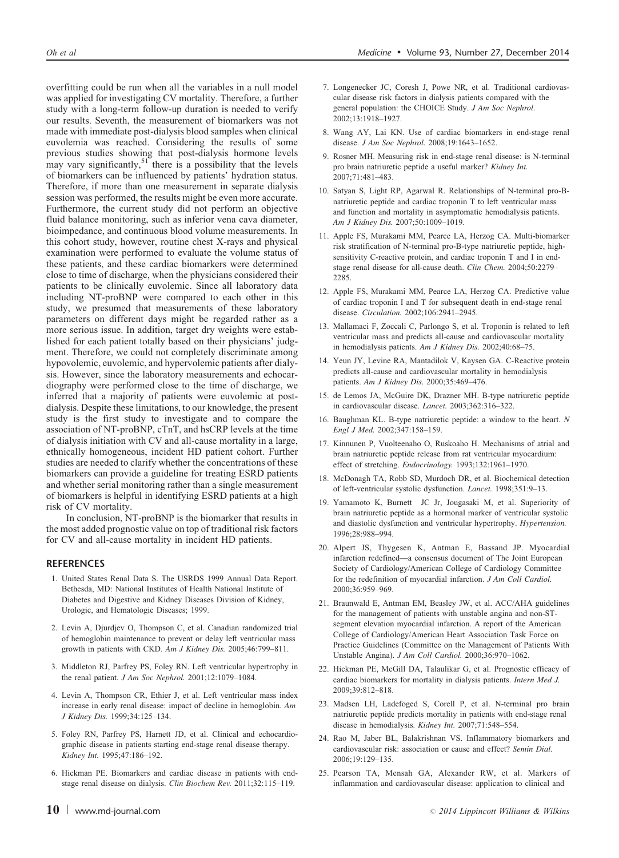<span id="page-9-0"></span>overfitting could be run when all the variables in a null model was applied for investigating CV mortality. Therefore, a further study with a long-term follow-up duration is needed to verify our results. Seventh, the measurement of biomarkers was not made with immediate post-dialysis blood samples when clinical euvolemia was reached. Considering the results of some previous studies showing that post-dialysis hormone levels may vary significantly,<sup>[51](#page-10-0)</sup> there is a possibility that the levels of biomarkers can be influenced by patients' hydration status. 2002;13:1918–1927. 2007;71:481–483.

Therefore, if more than one measurement in separate dialysis session was performed, the results might be even more accurate. Furthermore, the current study did not perform an objective fluid balance monitoring, such as inferior vena cava diameter, bioimpedance, and continuous blood volume measurements. In this cohort study, however, routine chest X-rays and physical examination were performed to evaluate the volume status of these patients, and these cardiac biomarkers were determined close to time of discharge, when the physicians considered their patients to be clinically euvolemic. Since all laboratory data including NT-proBNP were compared to each other in this study, we presumed that measurements of these laboratory parameters on different days might be regarded rather as a more serious issue. In addition, target dry weights were established for each patient totally based on their physicians' judgment. Therefore, we could not completely discriminate among hypovolemic, euvolemic, and hypervolemic patients after dialysis. However, since the laboratory measurements and echocardiography were performed close to the time of discharge, we inferred that a majority of patients were euvolemic at postdialysis. Despite these limitations, to our knowledge, the present study is the first study to investigate and to compare the association of NT-proBNP, cTnT, and hsCRP levels at the time of dialysis initiation with CV and all-cause mortality in a large, ethnically homogeneous, incident HD patient cohort. Further studies are needed to clarify whether the concentrations of these biomarkers can provide a guideline for treating ESRD patients and whether serial monitoring rather than a single measurement of biomarkers is helpful in identifying ESRD patients at a high risk of CV mortality.

In conclusion, NT-proBNP is the biomarker that results in the most added prognostic value on top of traditional risk factors for CV and all-cause mortality in incident HD patients.

## REFERENCES

- 1. United States Renal Data S. The USRDS 1999 Annual Data Report. Bethesda, MD: National Institutes of Health National Institute of Diabetes and Digestive and Kidney Diseases Division of Kidney, Urologic, and Hematologic Diseases; 1999.
- 2. Levin A, Djurdjev O, Thompson C, et al. Canadian randomized trial of hemoglobin maintenance to prevent or delay left ventricular mass growth in patients with CKD. Am J Kidney Dis. 2005;46:799–811.
- 3. Middleton RJ, Parfrey PS, Foley RN. Left ventricular hypertrophy in the renal patient. J Am Soc Nephrol. 2001;12:1079–1084.
- 4. Levin A, Thompson CR, Ethier J, et al. Left ventricular mass index increase in early renal disease: impact of decline in hemoglobin. Am J Kidney Dis. 1999;34:125–134.
- 5. Foley RN, Parfrey PS, Harnett JD, et al. Clinical and echocardiographic disease in patients starting end-stage renal disease therapy. Kidney Int. 1995;47:186–192.
- 6. Hickman PE. Biomarkers and cardiac disease in patients with endstage renal disease on dialysis. Clin Biochem Rev. 2011;32:115–119.
- 7. Longenecker JC, Coresh J, Powe NR, et al. Traditional cardiovascular disease risk factors in dialysis patients compared with the general population: the CHOICE Study. J Am Soc Nephrol.
- 8. Wang AY, Lai KN. Use of cardiac biomarkers in end-stage renal disease. J Am Soc Nephrol. 2008;19:1643–1652.
- 9. Rosner MH. Measuring risk in end-stage renal disease: is N-terminal pro brain natriuretic peptide a useful marker? Kidney Int.
- 10. Satyan S, Light RP, Agarwal R. Relationships of N-terminal pro-Bnatriuretic peptide and cardiac troponin T to left ventricular mass and function and mortality in asymptomatic hemodialysis patients. Am J Kidney Dis. 2007;50:1009–1019.
- 11. Apple FS, Murakami MM, Pearce LA, Herzog CA. Multi-biomarker risk stratification of N-terminal pro-B-type natriuretic peptide, highsensitivity C-reactive protein, and cardiac troponin T and I in endstage renal disease for all-cause death. Clin Chem. 2004;50:2279– 2285.
- 12. Apple FS, Murakami MM, Pearce LA, Herzog CA. Predictive value of cardiac troponin I and T for subsequent death in end-stage renal disease. Circulation. 2002;106:2941–2945.
- 13. Mallamaci F, Zoccali C, Parlongo S, et al. Troponin is related to left ventricular mass and predicts all-cause and cardiovascular mortality in hemodialysis patients. Am J Kidney Dis. 2002;40:68–75.
- 14. Yeun JY, Levine RA, Mantadilok V, Kaysen GA. C-Reactive protein predicts all-cause and cardiovascular mortality in hemodialysis patients. Am J Kidney Dis. 2000;35:469–476.
- 15. de Lemos JA, McGuire DK, Drazner MH. B-type natriuretic peptide in cardiovascular disease. Lancet. 2003;362:316–322.
- 16. Baughman KL. B-type natriuretic peptide: a window to the heart. N Engl J Med. 2002;347:158–159.
- 17. Kinnunen P, Vuolteenaho O, Ruskoaho H. Mechanisms of atrial and brain natriuretic peptide release from rat ventricular myocardium: effect of stretching. Endocrinology. 1993;132:1961–1970.
- 18. McDonagh TA, Robb SD, Murdoch DR, et al. Biochemical detection of left-ventricular systolic dysfunction. Lancet. 1998;351:9–13.
- 19. Yamamoto K, Burnett JC Jr, Jougasaki M, et al. Superiority of brain natriuretic peptide as a hormonal marker of ventricular systolic and diastolic dysfunction and ventricular hypertrophy. Hypertension. 1996;28:988–994.
- 20. Alpert JS, Thygesen K, Antman E, Bassand JP. Myocardial infarction redefined*—*a consensus document of The Joint European Society of Cardiology/American College of Cardiology Committee for the redefinition of myocardial infarction. J Am Coll Cardiol. 2000;36:959–969.
- 21. Braunwald E, Antman EM, Beasley JW, et al. ACC/AHA guidelines for the management of patients with unstable angina and non-STsegment elevation myocardial infarction. A report of the American College of Cardiology/American Heart Association Task Force on Practice Guidelines (Committee on the Management of Patients With Unstable Angina). J Am Coll Cardiol. 2000;36:970–1062.
- 22. Hickman PE, McGill DA, Talaulikar G, et al. Prognostic efficacy of cardiac biomarkers for mortality in dialysis patients. Intern Med J. 2009;39:812–818.
- 23. Madsen LH, Ladefoged S, Corell P, et al. N-terminal pro brain natriuretic peptide predicts mortality in patients with end-stage renal disease in hemodialysis. Kidney Int. 2007;71:548–554.
- 24. Rao M, Jaber BL, Balakrishnan VS. Inflammatory biomarkers and cardiovascular risk: association or cause and effect? Semin Dial. 2006;19:129–135.
- 25. Pearson TA, Mensah GA, Alexander RW, et al. Markers of inflammation and cardiovascular disease: application to clinical and